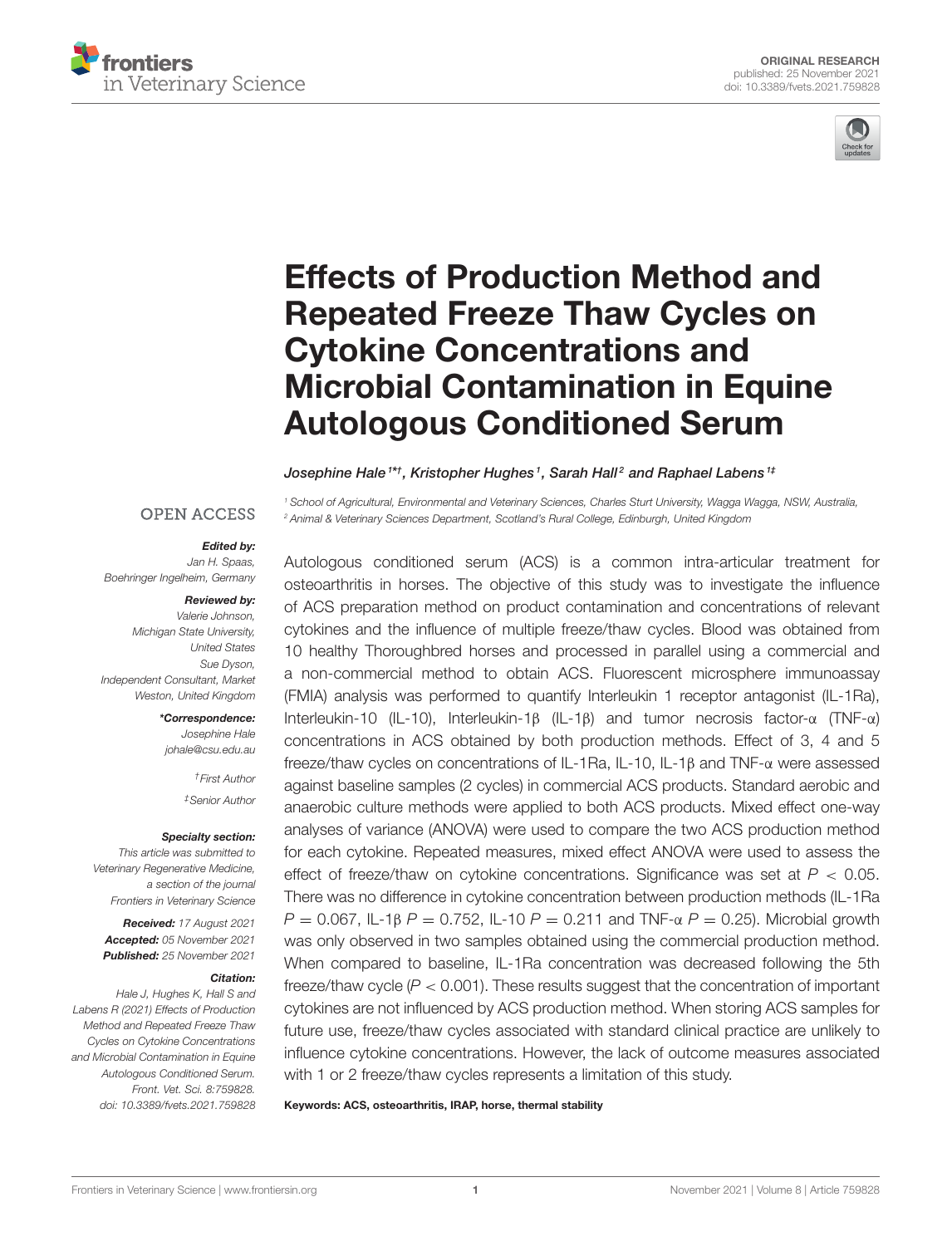



# Effects of Production Method and Repeated Freeze Thaw Cycles on Cytokine Concentrations and [Microbial Contamination in Equine](https://www.frontiersin.org/articles/10.3389/fvets.2021.759828/full) Autologous Conditioned Serum

Josephine Hale<sup>1\*†</sup>, Kristopher Hughes<sup>1</sup>, Sarah Hall<sup>2</sup> and Raphael Labens<sup>1‡</sup>

#### **OPEN ACCESS**

#### Edited by:

*Jan H. Spaas, Boehringer Ingelheim, Germany*

#### Reviewed by:

*Valerie Johnson, Michigan State University, United States Sue Dyson, Independent Consultant, Market Weston, United Kingdom*

> \*Correspondence: *Josephine Hale [johale@csu.edu.au](mailto:johale@csu.edu.au)*

> > *†First Author ‡Senior Author*

Specialty section: *This article was submitted to Veterinary Regenerative Medicine, a section of the journal Frontiers in Veterinary Science*

Received: *17 August 2021* Accepted: *05 November 2021* Published: *25 November 2021*

#### Citation:

*Hale J, Hughes K, Hall S and Labens R (2021) Effects of Production Method and Repeated Freeze Thaw Cycles on Cytokine Concentrations and Microbial Contamination in Equine Autologous Conditioned Serum. Front. Vet. Sci. 8:759828. doi: [10.3389/fvets.2021.759828](https://doi.org/10.3389/fvets.2021.759828)*

*<sup>1</sup> School of Agricultural, Environmental and Veterinary Sciences, Charles Sturt University, Wagga Wagga, NSW, Australia, <sup>2</sup> Animal & Veterinary Sciences Department, Scotland's Rural College, Edinburgh, United Kingdom*

Autologous conditioned serum (ACS) is a common intra-articular treatment for osteoarthritis in horses. The objective of this study was to investigate the influence of ACS preparation method on product contamination and concentrations of relevant cytokines and the influence of multiple freeze/thaw cycles. Blood was obtained from 10 healthy Thoroughbred horses and processed in parallel using a commercial and a non-commercial method to obtain ACS. Fluorescent microsphere immunoassay (FMIA) analysis was performed to quantify Interleukin 1 receptor antagonist (IL-1Ra), Interleukin-10 (IL-10), Interleukin-1β (IL-1β) and tumor necrosis factor-α (TNF-α) concentrations in ACS obtained by both production methods. Effect of 3, 4 and 5 freeze/thaw cycles on concentrations of IL-1Ra, IL-10, IL-1β and TNF-α were assessed against baseline samples (2 cycles) in commercial ACS products. Standard aerobic and anaerobic culture methods were applied to both ACS products. Mixed effect one-way analyses of variance (ANOVA) were used to compare the two ACS production method for each cytokine. Repeated measures, mixed effect ANOVA were used to assess the effect of freeze/thaw on cytokine concentrations. Significance was set at *P* < 0.05. There was no difference in cytokine concentration between production methods (IL-1Ra *P* = 0.067, IL-1β *P* = 0.752, IL-10 *P* = 0.211 and TNF-α *P* = 0.25). Microbial growth was only observed in two samples obtained using the commercial production method. When compared to baseline, IL-1Ra concentration was decreased following the 5th freeze/thaw cycle (*P* < 0.001). These results suggest that the concentration of important cytokines are not influenced by ACS production method. When storing ACS samples for future use, freeze/thaw cycles associated with standard clinical practice are unlikely to influence cytokine concentrations. However, the lack of outcome measures associated with 1 or 2 freeze/thaw cycles represents a limitation of this study.

Keywords: ACS, osteoarthritis, IRAP, horse, thermal stability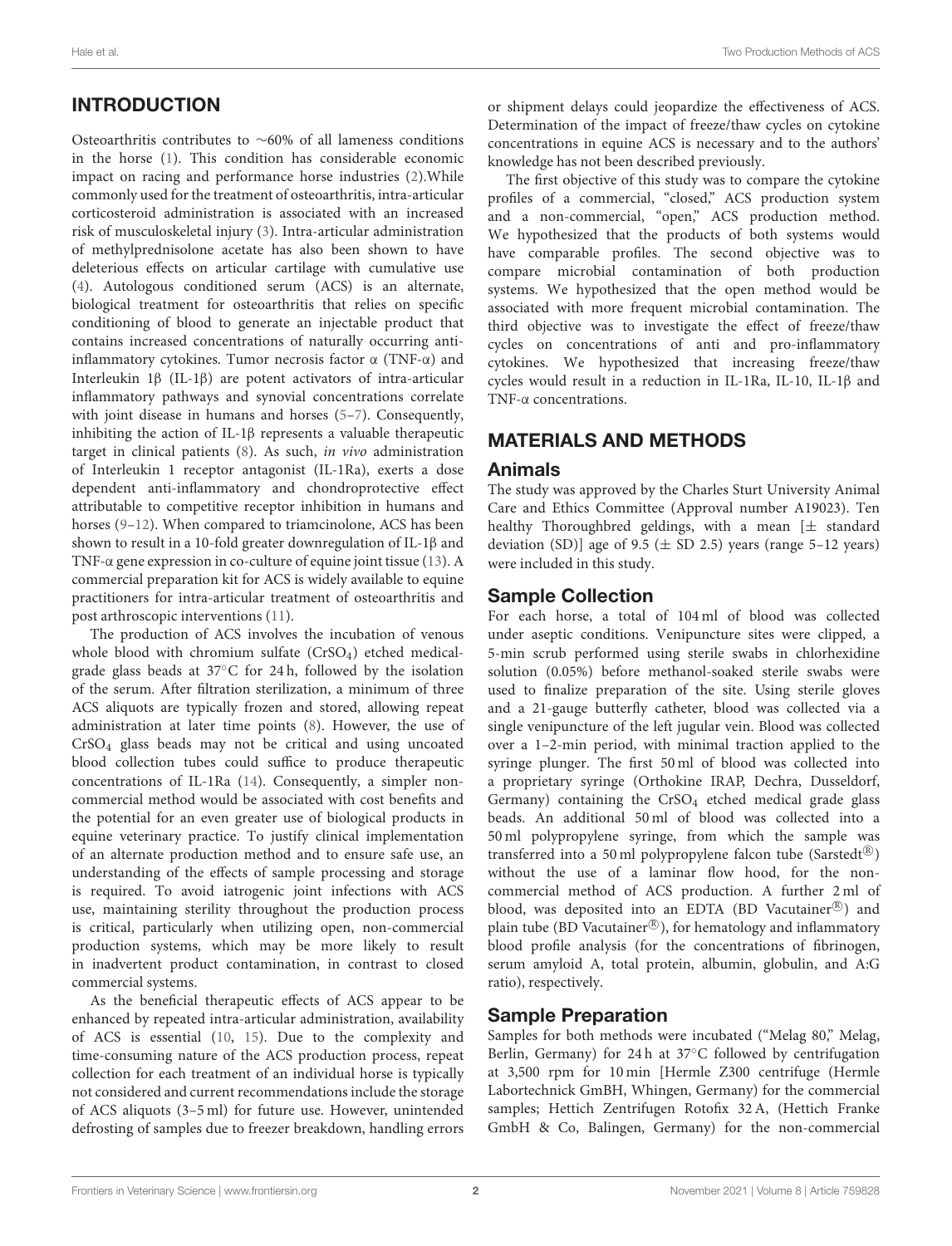## INTRODUCTION

Osteoarthritis contributes to ∼60% of all lameness conditions in the horse [\(1\)](#page-7-0). This condition has considerable economic impact on racing and performance horse industries [\(2\)](#page-7-1).While commonly used for the treatment of osteoarthritis, intra-articular corticosteroid administration is associated with an increased risk of musculoskeletal injury [\(3\)](#page-7-2). Intra-articular administration of methylprednisolone acetate has also been shown to have deleterious effects on articular cartilage with cumulative use [\(4\)](#page-7-3). Autologous conditioned serum (ACS) is an alternate, biological treatment for osteoarthritis that relies on specific conditioning of blood to generate an injectable product that contains increased concentrations of naturally occurring antiinflammatory cytokines. Tumor necrosis factor α (TNF-α) and Interleukin 1β (IL-1β) are potent activators of intra-articular inflammatory pathways and synovial concentrations correlate with joint disease in humans and horses [\(5–](#page-7-4)[7\)](#page-7-5). Consequently, inhibiting the action of IL-1β represents a valuable therapeutic target in clinical patients [\(8\)](#page-7-6). As such, in vivo administration of Interleukin 1 receptor antagonist (IL-1Ra), exerts a dose dependent anti-inflammatory and chondroprotective effect attributable to competitive receptor inhibition in humans and horses [\(9–](#page-7-7)[12\)](#page-7-8). When compared to triamcinolone, ACS has been shown to result in a 10-fold greater downregulation of IL-1β and TNF-α gene expression in co-culture of equine joint tissue [\(13\)](#page-7-9). A commercial preparation kit for ACS is widely available to equine practitioners for intra-articular treatment of osteoarthritis and post arthroscopic interventions [\(11\)](#page-7-10).

The production of ACS involves the incubation of venous whole blood with chromium sulfate (CrSO<sub>4</sub>) etched medicalgrade glass beads at 37◦C for 24 h, followed by the isolation of the serum. After filtration sterilization, a minimum of three ACS aliquots are typically frozen and stored, allowing repeat administration at later time points [\(8\)](#page-7-6). However, the use of CrSO<sup>4</sup> glass beads may not be critical and using uncoated blood collection tubes could suffice to produce therapeutic concentrations of IL-1Ra [\(14\)](#page-7-11). Consequently, a simpler noncommercial method would be associated with cost benefits and the potential for an even greater use of biological products in equine veterinary practice. To justify clinical implementation of an alternate production method and to ensure safe use, an understanding of the effects of sample processing and storage is required. To avoid iatrogenic joint infections with ACS use, maintaining sterility throughout the production process is critical, particularly when utilizing open, non-commercial production systems, which may be more likely to result in inadvertent product contamination, in contrast to closed commercial systems.

As the beneficial therapeutic effects of ACS appear to be enhanced by repeated intra-articular administration, availability of ACS is essential [\(10,](#page-7-12) [15\)](#page-7-13). Due to the complexity and time-consuming nature of the ACS production process, repeat collection for each treatment of an individual horse is typically not considered and current recommendations include the storage of ACS aliquots (3–5 ml) for future use. However, unintended defrosting of samples due to freezer breakdown, handling errors or shipment delays could jeopardize the effectiveness of ACS. Determination of the impact of freeze/thaw cycles on cytokine concentrations in equine ACS is necessary and to the authors' knowledge has not been described previously.

The first objective of this study was to compare the cytokine profiles of a commercial, "closed," ACS production system and a non-commercial, "open," ACS production method. We hypothesized that the products of both systems would have comparable profiles. The second objective was to compare microbial contamination of both production systems. We hypothesized that the open method would be associated with more frequent microbial contamination. The third objective was to investigate the effect of freeze/thaw cycles on concentrations of anti and pro-inflammatory cytokines. We hypothesized that increasing freeze/thaw cycles would result in a reduction in IL-1Ra, IL-10, IL-1β and TNF-α concentrations.

#### MATERIALS AND METHODS

#### Animals

The study was approved by the Charles Sturt University Animal Care and Ethics Committee (Approval number A19023). Ten healthy Thoroughbred geldings, with a mean  $[\pm$  standard deviation (SD)] age of 9.5 ( $\pm$  SD 2.5) years (range 5–12 years) were included in this study.

#### Sample Collection

For each horse, a total of 104 ml of blood was collected under aseptic conditions. Venipuncture sites were clipped, a 5-min scrub performed using sterile swabs in chlorhexidine solution (0.05%) before methanol-soaked sterile swabs were used to finalize preparation of the site. Using sterile gloves and a 21-gauge butterfly catheter, blood was collected via a single venipuncture of the left jugular vein. Blood was collected over a 1–2-min period, with minimal traction applied to the syringe plunger. The first 50 ml of blood was collected into a proprietary syringe (Orthokine IRAP, Dechra, Dusseldorf, Germany) containing the  $CrSO<sub>4</sub>$  etched medical grade glass beads. An additional 50 ml of blood was collected into a 50 ml polypropylene syringe, from which the sample was transferred into a 50 ml polypropylene falcon tube (Sarstedt®) without the use of a laminar flow hood, for the noncommercial method of ACS production. A further 2 ml of blood, was deposited into an EDTA (BD Vacutainer®) and plain tube (BD Vacutainer®), for hematology and inflammatory blood profile analysis (for the concentrations of fibrinogen, serum amyloid A, total protein, albumin, globulin, and A:G ratio), respectively.

#### Sample Preparation

Samples for both methods were incubated ("Melag 80," Melag, Berlin, Germany) for 24 h at 37◦C followed by centrifugation at 3,500 rpm for 10 min [Hermle Z300 centrifuge (Hermle Labortechnick GmBH, Whingen, Germany) for the commercial samples; Hettich Zentrifugen Rotofix 32 A, (Hettich Franke GmbH & Co, Balingen, Germany) for the non-commercial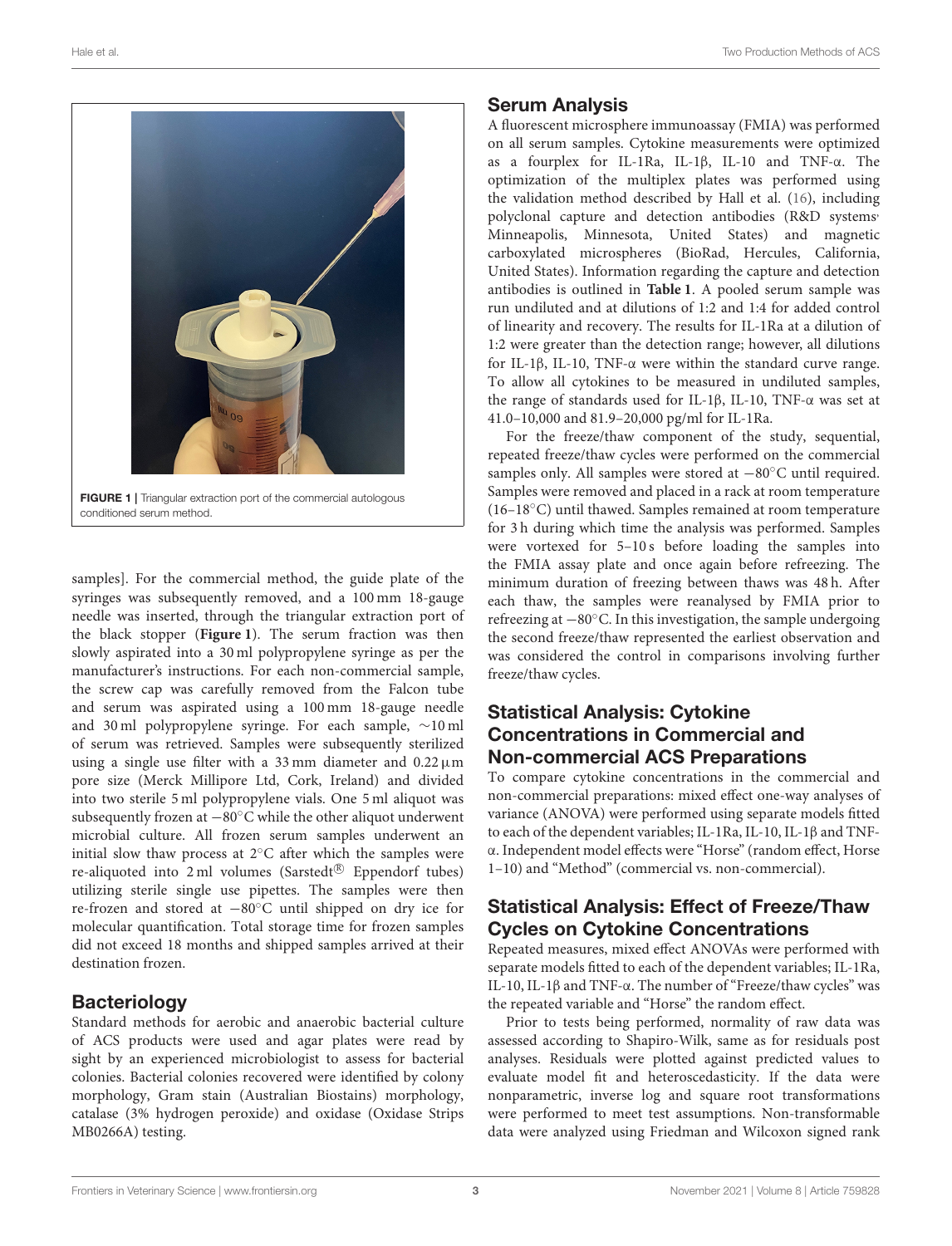

<span id="page-2-0"></span>samples]. For the commercial method, the guide plate of the syringes was subsequently removed, and a 100 mm 18-gauge needle was inserted, through the triangular extraction port of the black stopper (**[Figure 1](#page-2-0)**). The serum fraction was then slowly aspirated into a 30 ml polypropylene syringe as per the manufacturer's instructions. For each non-commercial sample, the screw cap was carefully removed from the Falcon tube and serum was aspirated using a 100 mm 18-gauge needle and 30 ml polypropylene syringe. For each sample, ∼10 ml of serum was retrieved. Samples were subsequently sterilized using a single use filter with a 33 mm diameter and  $0.22 \mu m$ pore size (Merck Millipore Ltd, Cork, Ireland) and divided into two sterile 5 ml polypropylene vials. One 5 ml aliquot was subsequently frozen at −80◦C while the other aliquot underwent microbial culture. All frozen serum samples underwent an initial slow thaw process at 2◦C after which the samples were re-aliquoted into 2 ml volumes (Sarstedt® Eppendorf tubes) utilizing sterile single use pipettes. The samples were then re-frozen and stored at −80◦C until shipped on dry ice for molecular quantification. Total storage time for frozen samples did not exceed 18 months and shipped samples arrived at their destination frozen.

#### **Bacteriology**

Standard methods for aerobic and anaerobic bacterial culture of ACS products were used and agar plates were read by sight by an experienced microbiologist to assess for bacterial colonies. Bacterial colonies recovered were identified by colony morphology, Gram stain (Australian Biostains) morphology, catalase (3% hydrogen peroxide) and oxidase (Oxidase Strips MB0266A) testing.

#### Serum Analysis

A fluorescent microsphere immunoassay (FMIA) was performed on all serum samples. Cytokine measurements were optimized as a fourplex for IL-1Ra, IL-1β, IL-10 and TNF-α. The optimization of the multiplex plates was performed using the validation method described by Hall et al. [\(16\)](#page-7-14), including polyclonal capture and detection antibodies (R&D systems' Minneapolis, Minnesota, United States) and magnetic carboxylated microspheres (BioRad, Hercules, California, United States). Information regarding the capture and detection antibodies is outlined in **[Table 1](#page-3-0)**. A pooled serum sample was run undiluted and at dilutions of 1:2 and 1:4 for added control of linearity and recovery. The results for IL-1Ra at a dilution of 1:2 were greater than the detection range; however, all dilutions for IL-1β, IL-10, TNF-α were within the standard curve range. To allow all cytokines to be measured in undiluted samples, the range of standards used for IL-1β, IL-10, TNF-α was set at 41.0–10,000 and 81.9–20,000 pg/ml for IL-1Ra.

For the freeze/thaw component of the study, sequential, repeated freeze/thaw cycles were performed on the commercial samples only. All samples were stored at −80°C until required. Samples were removed and placed in a rack at room temperature (16–18◦C) until thawed. Samples remained at room temperature for 3 h during which time the analysis was performed. Samples were vortexed for 5–10 s before loading the samples into the FMIA assay plate and once again before refreezing. The minimum duration of freezing between thaws was 48 h. After each thaw, the samples were reanalysed by FMIA prior to refreezing at −80◦C. In this investigation, the sample undergoing the second freeze/thaw represented the earliest observation and was considered the control in comparisons involving further freeze/thaw cycles.

#### Statistical Analysis: Cytokine Concentrations in Commercial and Non-commercial ACS Preparations

To compare cytokine concentrations in the commercial and non-commercial preparations: mixed effect one-way analyses of variance (ANOVA) were performed using separate models fitted to each of the dependent variables; IL-1Ra, IL-10, IL-1β and TNFα. Independent model effects were "Horse" (random effect, Horse 1–10) and "Method" (commercial vs. non-commercial).

#### Statistical Analysis: Effect of Freeze/Thaw Cycles on Cytokine Concentrations

Repeated measures, mixed effect ANOVAs were performed with separate models fitted to each of the dependent variables; IL-1Ra, IL-10, IL-1β and TNF-α. The number of "Freeze/thaw cycles" was the repeated variable and "Horse" the random effect.

Prior to tests being performed, normality of raw data was assessed according to Shapiro-Wilk, same as for residuals post analyses. Residuals were plotted against predicted values to evaluate model fit and heteroscedasticity. If the data were nonparametric, inverse log and square root transformations were performed to meet test assumptions. Non-transformable data were analyzed using Friedman and Wilcoxon signed rank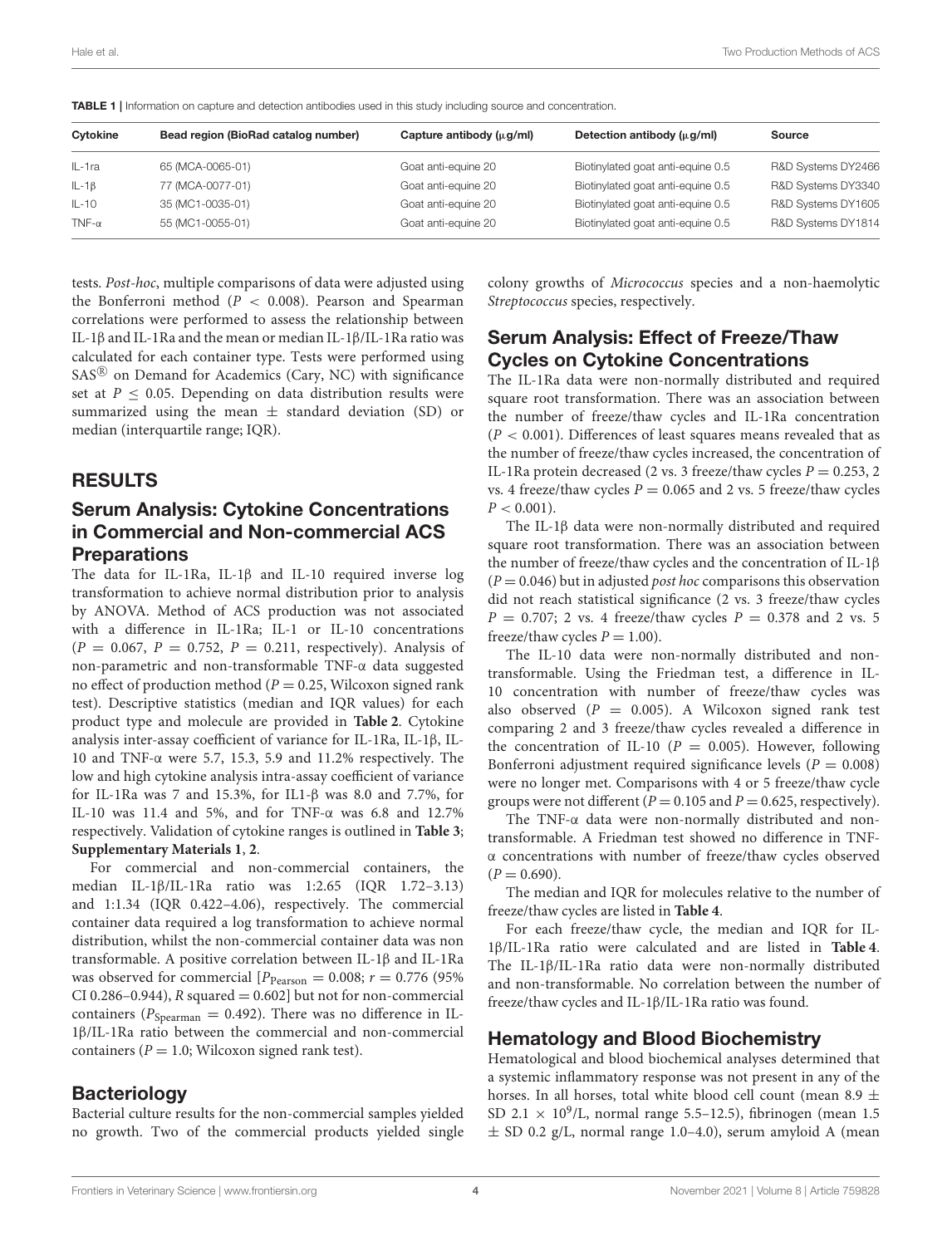| Cytokine      | Bead region (BioRad catalog number) | Capture antibody $(\mu g/ml)$ | Detection antibody $(\mu q/ml)$   | <b>Source</b>      |
|---------------|-------------------------------------|-------------------------------|-----------------------------------|--------------------|
| IL-1ra        | 65 (MCA-0065-01)                    | Goat anti-equine 20           | Biotinylated goat anti-equine 0.5 | R&D Systems DY2466 |
| $IL - 1\beta$ | 77 (MCA-0077-01)                    | Goat anti-equine 20           | Biotinylated goat anti-equine 0.5 | R&D Systems DY3340 |
| $IL-10$       | 35 (MC1-0035-01)                    | Goat anti-equine 20           | Biotinylated goat anti-equine 0.5 | R&D Systems DY1605 |
| TNF- $\alpha$ | 55 (MC1-0055-01)                    | Goat anti-equine 20           | Biotinylated goat anti-equine 0.5 | R&D Systems DY1814 |
|               |                                     |                               |                                   |                    |

<span id="page-3-0"></span>TABLE 1 | Information on capture and detection antibodies used in this study including source and concentration.

tests. Post-hoc, multiple comparisons of data were adjusted using the Bonferroni method ( $P < 0.008$ ). Pearson and Spearman correlations were performed to assess the relationship between IL-1β and IL-1Ra and the mean or median IL-1β/IL-1Ra ratio was calculated for each container type. Tests were performed using  $SAS^{\circledR}$  on Demand for Academics (Cary, NC) with significance set at  $P \leq 0.05$ . Depending on data distribution results were summarized using the mean  $\pm$  standard deviation (SD) or median (interquartile range; IQR).

#### RESULTS

#### Serum Analysis: Cytokine Concentrations in Commercial and Non-commercial ACS **Preparations**

The data for IL-1Ra, IL-1β and IL-10 required inverse log transformation to achieve normal distribution prior to analysis by ANOVA. Method of ACS production was not associated with a difference in IL-1Ra; IL-1 or IL-10 concentrations  $(P = 0.067, P = 0.752, P = 0.211, respectively)$ . Analysis of non-parametric and non-transformable TNF-α data suggested no effect of production method ( $P = 0.25$ , Wilcoxon signed rank test). Descriptive statistics (median and IQR values) for each product type and molecule are provided in **[Table 2](#page-4-0)**. Cytokine analysis inter-assay coefficient of variance for IL-1Ra, IL-1β, IL-10 and TNF-α were 5.7, 15.3, 5.9 and 11.2% respectively. The low and high cytokine analysis intra-assay coefficient of variance for IL-1Ra was 7 and 15.3%, for IL1-β was 8.0 and 7.7%, for IL-10 was 11.4 and 5%, and for TNF-α was 6.8 and 12.7% respectively. Validation of cytokine ranges is outlined in **[Table 3](#page-4-1)**; **[Supplementary Materials 1](#page-7-15)**, **[2](#page-7-15)**.

For commercial and non-commercial containers, the median IL-1β/IL-1Ra ratio was 1:2.65 (IQR 1.72–3.13) and 1:1.34 (IQR 0.422–4.06), respectively. The commercial container data required a log transformation to achieve normal distribution, whilst the non-commercial container data was non transformable. A positive correlation between IL-1β and IL-1Ra was observed for commercial  $[P_{Pearson} = 0.008; r = 0.776$  (95%) CI 0.286–0.944),  $R$  squared = 0.602] but not for non-commercial containers ( $P_{Spearman} = 0.492$ ). There was no difference in IL-1β/IL-1Ra ratio between the commercial and non-commercial containers ( $P = 1.0$ ; Wilcoxon signed rank test).

#### **Bacteriology**

Bacterial culture results for the non-commercial samples yielded no growth. Two of the commercial products yielded single colony growths of Micrococcus species and a non-haemolytic Streptococcus species, respectively.

#### Serum Analysis: Effect of Freeze/Thaw Cycles on Cytokine Concentrations

The IL-1Ra data were non-normally distributed and required square root transformation. There was an association between the number of freeze/thaw cycles and IL-1Ra concentration  $(P < 0.001)$ . Differences of least squares means revealed that as the number of freeze/thaw cycles increased, the concentration of IL-1Ra protein decreased (2 vs. 3 freeze/thaw cycles  $P = 0.253, 2$ vs. 4 freeze/thaw cycles  $P = 0.065$  and 2 vs. 5 freeze/thaw cycles  $P < 0.001$ ).

The IL-1β data were non-normally distributed and required square root transformation. There was an association between the number of freeze/thaw cycles and the concentration of IL-1β  $(P = 0.046)$  but in adjusted *post hoc* comparisons this observation did not reach statistical significance (2 vs. 3 freeze/thaw cycles  $P = 0.707$ ; 2 vs. 4 freeze/thaw cycles  $P = 0.378$  and 2 vs. 5 freeze/thaw cycles  $P = 1.00$ ).

The IL-10 data were non-normally distributed and nontransformable. Using the Friedman test, a difference in IL-10 concentration with number of freeze/thaw cycles was also observed  $(P = 0.005)$ . A Wilcoxon signed rank test comparing 2 and 3 freeze/thaw cycles revealed a difference in the concentration of IL-10 ( $P = 0.005$ ). However, following Bonferroni adjustment required significance levels ( $P = 0.008$ ) were no longer met. Comparisons with 4 or 5 freeze/thaw cycle groups were not different ( $P = 0.105$  and  $P = 0.625$ , respectively).

The TNF-α data were non-normally distributed and nontransformable. A Friedman test showed no difference in TNFα concentrations with number of freeze/thaw cycles observed  $(P = 0.690)$ .

The median and IQR for molecules relative to the number of freeze/thaw cycles are listed in **[Table 4](#page-5-0)**.

For each freeze/thaw cycle, the median and IQR for IL-1β/IL-1Ra ratio were calculated and are listed in **[Table 4](#page-5-0)**. The IL-1β/IL-1Ra ratio data were non-normally distributed and non-transformable. No correlation between the number of freeze/thaw cycles and IL-1β/IL-1Ra ratio was found.

#### Hematology and Blood Biochemistry

Hematological and blood biochemical analyses determined that a systemic inflammatory response was not present in any of the horses. In all horses, total white blood cell count (mean 8.9  $\pm$ SD 2.1  $\times$  10<sup>9</sup>/L, normal range 5.5-12.5), fibrinogen (mean 1.5  $\pm$  SD 0.2 g/L, normal range 1.0–4.0), serum amyloid A (mean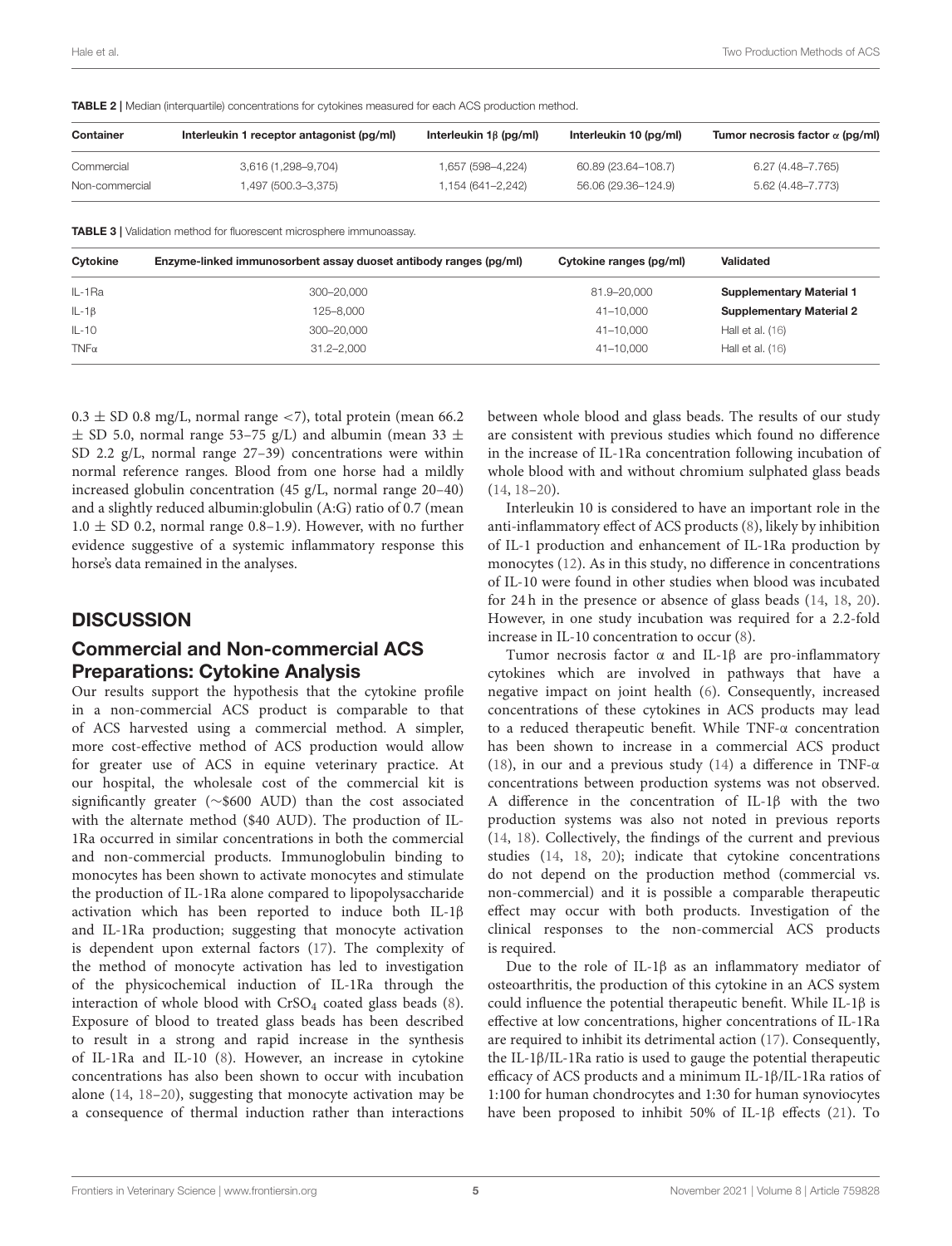<span id="page-4-1"></span>

| <b>Container</b>                      | Interleukin 1 receptor antagonist (pg/ml)                                   | Interleukin $1\beta$ (pg/ml) | Interleukin 10 (pg/ml)  | Tumor necrosis factor $\alpha$ (pg/ml) |  |
|---------------------------------------|-----------------------------------------------------------------------------|------------------------------|-------------------------|----------------------------------------|--|
| Commercial                            | 3,616 (1,298-9,704)                                                         | 1,657 (598-4,224)            | 60.89 (23.64-108.7)     | $6.27(4.48 - 7.765)$                   |  |
| 1,497 (500.3-3,375)<br>Non-commercial |                                                                             | 1,154 (641-2,242)            | 56.06 (29.36-124.9)     | 5.62 (4.48-7.773)                      |  |
|                                       | <b>TABLE 3</b>   Validation method for fluorescent microsphere immunoassay. |                              |                         |                                        |  |
| Cytokine                              | Enzyme-linked immunosorbent assay duoset antibody ranges (pg/ml)            |                              | Cytokine ranges (pg/ml) | <b>Validated</b>                       |  |
| IL-1Ra                                | 300-20.000                                                                  |                              | 81.9-20,000             | <b>Supplementary Material 1</b>        |  |
| $IL - 1\beta$                         | 125-8,000                                                                   |                              | $41 - 10.000$           | <b>Supplementary Material 2</b>        |  |
| $IL-10$                               | 300-20,000                                                                  |                              | 41-10,000               | Hall et al. $(16)$                     |  |
| $TNF\alpha$                           | $31.2 - 2.000$                                                              |                              | 41-10,000               | Hall et al. $(16)$                     |  |

<span id="page-4-0"></span>TABLE 2 | Median (interquartile) concentrations for cytokines measured for each ACS production method.

 $0.3 \pm$  SD 0.8 mg/L, normal range <7), total protein (mean 66.2)  $\pm$  SD 5.0, normal range 53–75 g/L) and albumin (mean 33  $\pm$ SD 2.2 g/L, normal range 27–39) concentrations were within normal reference ranges. Blood from one horse had a mildly increased globulin concentration (45 g/L, normal range 20–40) and a slightly reduced albumin:globulin (A:G) ratio of 0.7 (mean  $1.0 \pm SD$  0.2, normal range 0.8–1.9). However, with no further evidence suggestive of a systemic inflammatory response this horse's data remained in the analyses.

#### **DISCUSSION**

#### Commercial and Non-commercial ACS Preparations: Cytokine Analysis

Our results support the hypothesis that the cytokine profile in a non-commercial ACS product is comparable to that of ACS harvested using a commercial method. A simpler, more cost-effective method of ACS production would allow for greater use of ACS in equine veterinary practice. At our hospital, the wholesale cost of the commercial kit is significantly greater (∼\$600 AUD) than the cost associated with the alternate method (\$40 AUD). The production of IL-1Ra occurred in similar concentrations in both the commercial and non-commercial products. Immunoglobulin binding to monocytes has been shown to activate monocytes and stimulate the production of IL-1Ra alone compared to lipopolysaccharide activation which has been reported to induce both IL-1β and IL-1Ra production; suggesting that monocyte activation is dependent upon external factors [\(17\)](#page-7-16). The complexity of the method of monocyte activation has led to investigation of the physicochemical induction of IL-1Ra through the interaction of whole blood with  $CrSO<sub>4</sub>$  coated glass beads [\(8\)](#page-7-6). Exposure of blood to treated glass beads has been described to result in a strong and rapid increase in the synthesis of IL-1Ra and IL-10 [\(8\)](#page-7-6). However, an increase in cytokine concentrations has also been shown to occur with incubation alone [\(14,](#page-7-11) [18–](#page-7-17)[20\)](#page-7-18), suggesting that monocyte activation may be a consequence of thermal induction rather than interactions between whole blood and glass beads. The results of our study are consistent with previous studies which found no difference in the increase of IL-1Ra concentration following incubation of whole blood with and without chromium sulphated glass beads [\(14,](#page-7-11) [18–](#page-7-17)[20\)](#page-7-18).

Interleukin 10 is considered to have an important role in the anti-inflammatory effect of ACS products [\(8\)](#page-7-6), likely by inhibition of IL-1 production and enhancement of IL-1Ra production by monocytes [\(12\)](#page-7-8). As in this study, no difference in concentrations of IL-10 were found in other studies when blood was incubated for 24 h in the presence or absence of glass beads [\(14,](#page-7-11) [18,](#page-7-17) [20\)](#page-7-18). However, in one study incubation was required for a 2.2-fold increase in IL-10 concentration to occur [\(8\)](#page-7-6).

Tumor necrosis factor α and IL-1β are pro-inflammatory cytokines which are involved in pathways that have a negative impact on joint health [\(6\)](#page-7-19). Consequently, increased concentrations of these cytokines in ACS products may lead to a reduced therapeutic benefit. While TNF-α concentration has been shown to increase in a commercial ACS product [\(18\)](#page-7-17), in our and a previous study [\(14\)](#page-7-11) a difference in TNF- $\alpha$ concentrations between production systems was not observed. A difference in the concentration of IL-1β with the two production systems was also not noted in previous reports [\(14,](#page-7-11) [18\)](#page-7-17). Collectively, the findings of the current and previous studies [\(14,](#page-7-11) [18,](#page-7-17) [20\)](#page-7-18); indicate that cytokine concentrations do not depend on the production method (commercial vs. non-commercial) and it is possible a comparable therapeutic effect may occur with both products. Investigation of the clinical responses to the non-commercial ACS products is required.

Due to the role of IL-1β as an inflammatory mediator of osteoarthritis, the production of this cytokine in an ACS system could influence the potential therapeutic benefit. While IL-1β is effective at low concentrations, higher concentrations of IL-1Ra are required to inhibit its detrimental action [\(17\)](#page-7-16). Consequently, the IL-1β/IL-1Ra ratio is used to gauge the potential therapeutic efficacy of ACS products and a minimum IL-1β/IL-1Ra ratios of 1:100 for human chondrocytes and 1:30 for human synoviocytes have been proposed to inhibit 50% of IL-1β effects [\(21\)](#page-7-20). To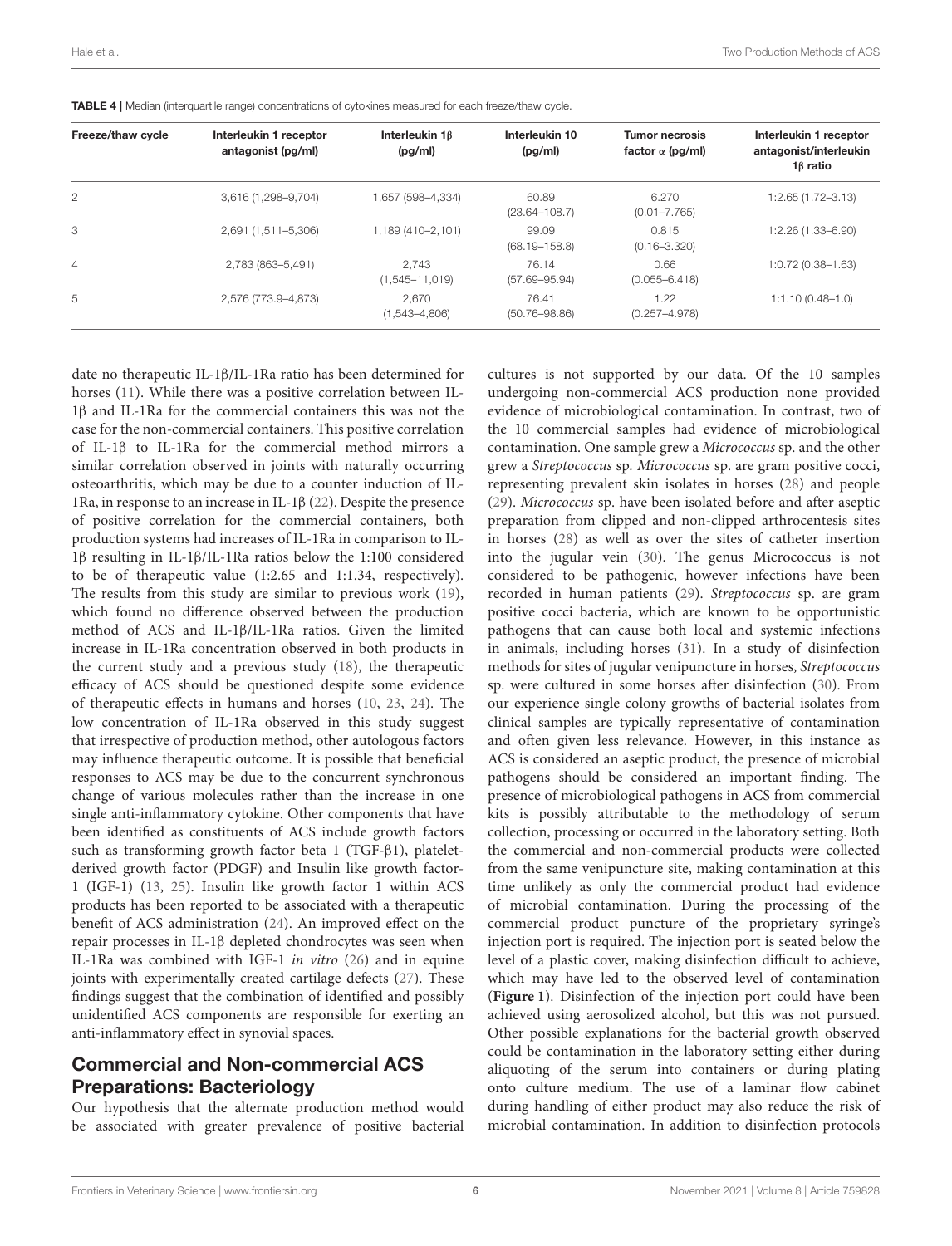| Freeze/thaw cycle | Interleukin 1 receptor<br>antagonist (pg/ml) | Interleukin $1\beta$<br>(pg/ml) | Interleukin 10<br>(pg/ml)  | <b>Tumor necrosis</b><br>factor $\alpha$ (pg/ml) | Interleukin 1 receptor<br>antagonist/interleukin<br>$1\beta$ ratio |
|-------------------|----------------------------------------------|---------------------------------|----------------------------|--------------------------------------------------|--------------------------------------------------------------------|
|                   |                                              |                                 |                            |                                                  |                                                                    |
| 2                 | 3,616 (1,298-9,704)                          | 1,657 (598-4,334)               | 60.89<br>$(23.64 - 108.7)$ | 6.270<br>$(0.01 - 7.765)$                        | $1:2.65(1.72-3.13)$                                                |
| 3                 | 2,691 (1,511-5,306)                          | 1,189 (410-2,101)               | 99.09<br>$(68.19 - 158.8)$ | 0.815<br>$(0.16 - 3.320)$                        | $1:2.26(1.33 - 6.90)$                                              |
| 4                 | 2,783 (863-5,491)                            | 2.743<br>$(1,545 - 11,019)$     | 76.14<br>$(57.69 - 95.94)$ | 0.66<br>$(0.055 - 6.418)$                        | 1:0.72 (0.38-1.63)                                                 |
| 5                 | 2,576 (773.9-4,873)                          | 2.670<br>$(1,543 - 4,806)$      | 76.41<br>$(50.76 - 98.86)$ | 1.22<br>$(0.257 - 4.978)$                        | $1:1.10(0.48-1.0)$                                                 |

<span id="page-5-0"></span>TABLE 4 | Median (interquartile range) concentrations of cytokines measured for each freeze/thaw cycle.

date no therapeutic IL-1β/IL-1Ra ratio has been determined for horses [\(11\)](#page-7-10). While there was a positive correlation between IL-1β and IL-1Ra for the commercial containers this was not the case for the non-commercial containers. This positive correlation of IL-1β to IL-1Ra for the commercial method mirrors a similar correlation observed in joints with naturally occurring osteoarthritis, which may be due to a counter induction of IL-1Ra, in response to an increase in IL-1β [\(22\)](#page-7-21). Despite the presence of positive correlation for the commercial containers, both production systems had increases of IL-1Ra in comparison to IL-1β resulting in IL-1β/IL-1Ra ratios below the 1:100 considered to be of therapeutic value (1:2.65 and 1:1.34, respectively). The results from this study are similar to previous work [\(19\)](#page-7-22), which found no difference observed between the production method of ACS and IL-1β/IL-1Ra ratios. Given the limited increase in IL-1Ra concentration observed in both products in the current study and a previous study [\(18\)](#page-7-17), the therapeutic efficacy of ACS should be questioned despite some evidence of therapeutic effects in humans and horses [\(10,](#page-7-12) [23,](#page-7-23) [24\)](#page-7-24). The low concentration of IL-1Ra observed in this study suggest that irrespective of production method, other autologous factors may influence therapeutic outcome. It is possible that beneficial responses to ACS may be due to the concurrent synchronous change of various molecules rather than the increase in one single anti-inflammatory cytokine. Other components that have been identified as constituents of ACS include growth factors such as transforming growth factor beta 1 (TGF-β1), plateletderived growth factor (PDGF) and Insulin like growth factor-1 (IGF-1) [\(13,](#page-7-9) [25\)](#page-7-25). Insulin like growth factor 1 within ACS products has been reported to be associated with a therapeutic benefit of ACS administration [\(24\)](#page-7-24). An improved effect on the repair processes in IL-1β depleted chondrocytes was seen when IL-1Ra was combined with IGF-1 in vitro [\(26\)](#page-7-26) and in equine joints with experimentally created cartilage defects [\(27\)](#page-8-0). These findings suggest that the combination of identified and possibly unidentified ACS components are responsible for exerting an anti-inflammatory effect in synovial spaces.

#### Commercial and Non-commercial ACS Preparations: Bacteriology

Our hypothesis that the alternate production method would be associated with greater prevalence of positive bacterial cultures is not supported by our data. Of the 10 samples undergoing non-commercial ACS production none provided evidence of microbiological contamination. In contrast, two of the 10 commercial samples had evidence of microbiological contamination. One sample grew a Micrococcus sp. and the other grew a Streptococcus sp. Micrococcus sp. are gram positive cocci, representing prevalent skin isolates in horses [\(28\)](#page-8-1) and people [\(29\)](#page-8-2). Micrococcus sp. have been isolated before and after aseptic preparation from clipped and non-clipped arthrocentesis sites in horses [\(28\)](#page-8-1) as well as over the sites of catheter insertion into the jugular vein [\(30\)](#page-8-3). The genus Micrococcus is not considered to be pathogenic, however infections have been recorded in human patients [\(29\)](#page-8-2). Streptococcus sp. are gram positive cocci bacteria, which are known to be opportunistic pathogens that can cause both local and systemic infections in animals, including horses [\(31\)](#page-8-4). In a study of disinfection methods for sites of jugular venipuncture in horses, Streptococcus sp. were cultured in some horses after disinfection [\(30\)](#page-8-3). From our experience single colony growths of bacterial isolates from clinical samples are typically representative of contamination and often given less relevance. However, in this instance as ACS is considered an aseptic product, the presence of microbial pathogens should be considered an important finding. The presence of microbiological pathogens in ACS from commercial kits is possibly attributable to the methodology of serum collection, processing or occurred in the laboratory setting. Both the commercial and non-commercial products were collected from the same venipuncture site, making contamination at this time unlikely as only the commercial product had evidence of microbial contamination. During the processing of the commercial product puncture of the proprietary syringe's injection port is required. The injection port is seated below the level of a plastic cover, making disinfection difficult to achieve, which may have led to the observed level of contamination (**[Figure 1](#page-2-0)**). Disinfection of the injection port could have been achieved using aerosolized alcohol, but this was not pursued. Other possible explanations for the bacterial growth observed could be contamination in the laboratory setting either during aliquoting of the serum into containers or during plating onto culture medium. The use of a laminar flow cabinet during handling of either product may also reduce the risk of microbial contamination. In addition to disinfection protocols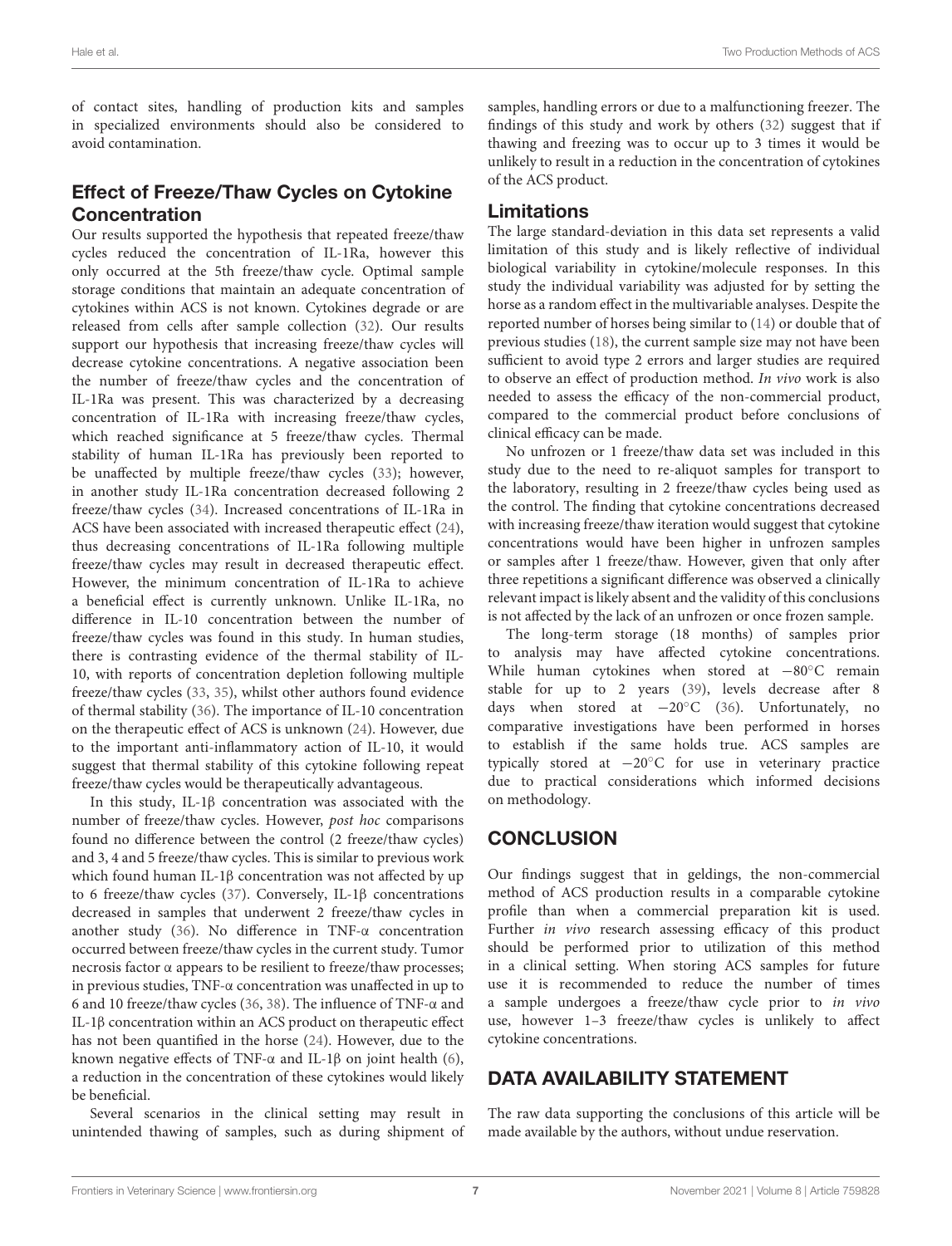of contact sites, handling of production kits and samples in specialized environments should also be considered to avoid contamination.

# Effect of Freeze/Thaw Cycles on Cytokine Concentration

Our results supported the hypothesis that repeated freeze/thaw cycles reduced the concentration of IL-1Ra, however this only occurred at the 5th freeze/thaw cycle. Optimal sample storage conditions that maintain an adequate concentration of cytokines within ACS is not known. Cytokines degrade or are released from cells after sample collection [\(32\)](#page-8-5). Our results support our hypothesis that increasing freeze/thaw cycles will decrease cytokine concentrations. A negative association been the number of freeze/thaw cycles and the concentration of IL-1Ra was present. This was characterized by a decreasing concentration of IL-1Ra with increasing freeze/thaw cycles, which reached significance at 5 freeze/thaw cycles. Thermal stability of human IL-1Ra has previously been reported to be unaffected by multiple freeze/thaw cycles [\(33\)](#page-8-6); however, in another study IL-1Ra concentration decreased following 2 freeze/thaw cycles [\(34\)](#page-8-7). Increased concentrations of IL-1Ra in ACS have been associated with increased therapeutic effect [\(24\)](#page-7-24), thus decreasing concentrations of IL-1Ra following multiple freeze/thaw cycles may result in decreased therapeutic effect. However, the minimum concentration of IL-1Ra to achieve a beneficial effect is currently unknown. Unlike IL-1Ra, no difference in IL-10 concentration between the number of freeze/thaw cycles was found in this study. In human studies, there is contrasting evidence of the thermal stability of IL-10, with reports of concentration depletion following multiple freeze/thaw cycles [\(33,](#page-8-6) [35\)](#page-8-8), whilst other authors found evidence of thermal stability [\(36\)](#page-8-9). The importance of IL-10 concentration on the therapeutic effect of ACS is unknown [\(24\)](#page-7-24). However, due to the important anti-inflammatory action of IL-10, it would suggest that thermal stability of this cytokine following repeat freeze/thaw cycles would be therapeutically advantageous.

In this study, IL-1β concentration was associated with the number of freeze/thaw cycles. However, post hoc comparisons found no difference between the control (2 freeze/thaw cycles) and 3, 4 and 5 freeze/thaw cycles. This is similar to previous work which found human IL-1β concentration was not affected by up to 6 freeze/thaw cycles [\(37\)](#page-8-10). Conversely, IL-1β concentrations decreased in samples that underwent 2 freeze/thaw cycles in another study [\(36\)](#page-8-9). No difference in TNF-α concentration occurred between freeze/thaw cycles in the current study. Tumor necrosis factor α appears to be resilient to freeze/thaw processes; in previous studies, TNF-α concentration was unaffected in up to 6 and 10 freeze/thaw cycles [\(36,](#page-8-9) [38\)](#page-8-11). The influence of TNF-α and IL-1β concentration within an ACS product on therapeutic effect has not been quantified in the horse [\(24\)](#page-7-24). However, due to the known negative effects of TNF-α and IL-1β on joint health [\(6\)](#page-7-19), a reduction in the concentration of these cytokines would likely be beneficial.

Several scenarios in the clinical setting may result in unintended thawing of samples, such as during shipment of samples, handling errors or due to a malfunctioning freezer. The findings of this study and work by others [\(32\)](#page-8-5) suggest that if thawing and freezing was to occur up to 3 times it would be unlikely to result in a reduction in the concentration of cytokines of the ACS product.

#### Limitations

The large standard-deviation in this data set represents a valid limitation of this study and is likely reflective of individual biological variability in cytokine/molecule responses. In this study the individual variability was adjusted for by setting the horse as a random effect in the multivariable analyses. Despite the reported number of horses being similar to [\(14\)](#page-7-11) or double that of previous studies [\(18\)](#page-7-17), the current sample size may not have been sufficient to avoid type 2 errors and larger studies are required to observe an effect of production method. In vivo work is also needed to assess the efficacy of the non-commercial product, compared to the commercial product before conclusions of clinical efficacy can be made.

No unfrozen or 1 freeze/thaw data set was included in this study due to the need to re-aliquot samples for transport to the laboratory, resulting in 2 freeze/thaw cycles being used as the control. The finding that cytokine concentrations decreased with increasing freeze/thaw iteration would suggest that cytokine concentrations would have been higher in unfrozen samples or samples after 1 freeze/thaw. However, given that only after three repetitions a significant difference was observed a clinically relevant impact is likely absent and the validity of this conclusions is not affected by the lack of an unfrozen or once frozen sample.

The long-term storage (18 months) of samples prior to analysis may have affected cytokine concentrations. While human cytokines when stored at −80°C remain stable for up to 2 years [\(39\)](#page-8-12), levels decrease after 8 days when stored at −20◦C [\(36\)](#page-8-9). Unfortunately, no comparative investigations have been performed in horses to establish if the same holds true. ACS samples are typically stored at −20◦C for use in veterinary practice due to practical considerations which informed decisions on methodology.

# **CONCLUSION**

Our findings suggest that in geldings, the non-commercial method of ACS production results in a comparable cytokine profile than when a commercial preparation kit is used. Further in vivo research assessing efficacy of this product should be performed prior to utilization of this method in a clinical setting. When storing ACS samples for future use it is recommended to reduce the number of times a sample undergoes a freeze/thaw cycle prior to in vivo use, however 1–3 freeze/thaw cycles is unlikely to affect cytokine concentrations.

#### DATA AVAILABILITY STATEMENT

The raw data supporting the conclusions of this article will be made available by the authors, without undue reservation.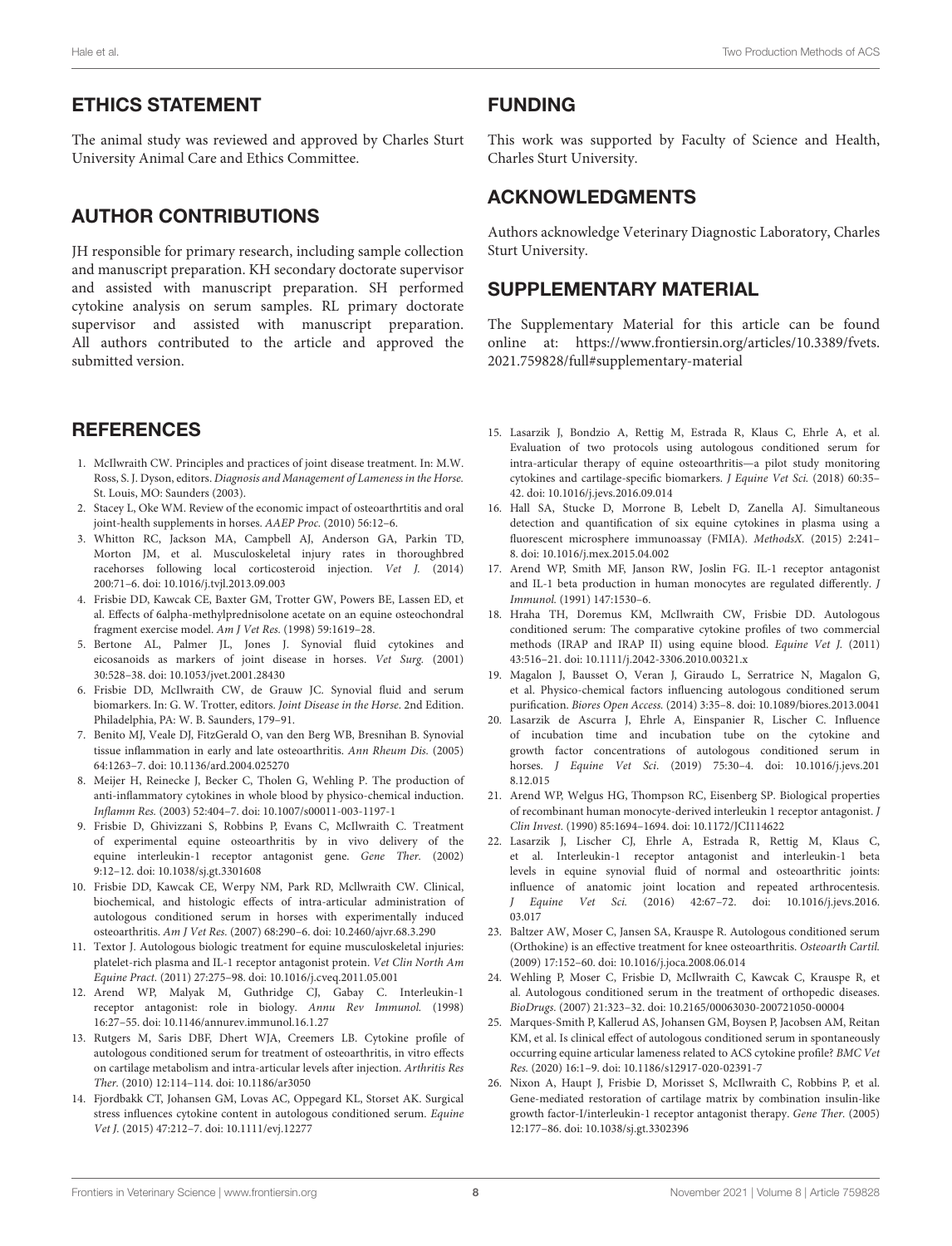#### ETHICS STATEMENT

The animal study was reviewed and approved by Charles Sturt University Animal Care and Ethics Committee.

# AUTHOR CONTRIBUTIONS

JH responsible for primary research, including sample collection and manuscript preparation. KH secondary doctorate supervisor and assisted with manuscript preparation. SH performed cytokine analysis on serum samples. RL primary doctorate supervisor and assisted with manuscript preparation. All authors contributed to the article and approved the submitted version.

### **REFERENCES**

- <span id="page-7-0"></span>1. McIlwraith CW. Principles and practices of joint disease treatment. In: M.W. Ross, S. J. Dyson, editors. Diagnosis and Management of Lameness in the Horse. St. Louis, MO: Saunders (2003).
- <span id="page-7-1"></span>2. Stacey L, Oke WM. Review of the economic impact of osteoarthrtitis and oral joint-health supplements in horses. AAEP Proc. (2010) 56:12–6.
- <span id="page-7-2"></span>3. Whitton RC, Jackson MA, Campbell AJ, Anderson GA, Parkin TD, Morton JM, et al. Musculoskeletal injury rates in thoroughbred racehorses following local corticosteroid injection. Vet J. (2014) 200:71–6. doi: [10.1016/j.tvjl.2013.09.003](https://doi.org/10.1016/j.tvjl.2013.09.003)
- <span id="page-7-3"></span>4. Frisbie DD, Kawcak CE, Baxter GM, Trotter GW, Powers BE, Lassen ED, et al. Effects of 6alpha-methylprednisolone acetate on an equine osteochondral fragment exercise model. Am J Vet Res. (1998) 59:1619–28.
- <span id="page-7-4"></span>5. Bertone AL, Palmer JL, Jones J. Synovial fluid cytokines and eicosanoids as markers of joint disease in horses. Vet Surg. (2001) 30:528–38. doi: [10.1053/jvet.2001.28430](https://doi.org/10.1053/jvet.2001.28430)
- <span id="page-7-19"></span>6. Frisbie DD, McIlwraith CW, de Grauw JC. Synovial fluid and serum biomarkers. In: G. W. Trotter, editors. Joint Disease in the Horse. 2nd Edition. Philadelphia, PA: W. B. Saunders, 179–91.
- <span id="page-7-5"></span>7. Benito MJ, Veale DJ, FitzGerald O, van den Berg WB, Bresnihan B. Synovial tissue inflammation in early and late osteoarthritis. Ann Rheum Dis. (2005) 64:1263–7. doi: [10.1136/ard.2004.025270](https://doi.org/10.1136/ard.2004.025270)
- <span id="page-7-6"></span>8. Meijer H, Reinecke J, Becker C, Tholen G, Wehling P. The production of anti-inflammatory cytokines in whole blood by physico-chemical induction. Inflamm Res. (2003) 52:404–7. doi: [10.1007/s00011-003-1197-1](https://doi.org/10.1007/s00011-003-1197-1)
- <span id="page-7-7"></span>9. Frisbie D, Ghivizzani S, Robbins P, Evans C, McIlwraith C. Treatment of experimental equine osteoarthritis by in vivo delivery of the equine interleukin-1 receptor antagonist gene. Gene Ther. (2002) 9:12–12. doi: [10.1038/sj.gt.3301608](https://doi.org/10.1038/sj.gt.3301608)
- <span id="page-7-12"></span>10. Frisbie DD, Kawcak CE, Werpy NM, Park RD, Mcllwraith CW. Clinical, biochemical, and histologic effects of intra-articular administration of autologous conditioned serum in horses with experimentally induced osteoarthritis. Am J Vet Res. (2007) 68:290–6. doi: [10.2460/ajvr.68.3.290](https://doi.org/10.2460/ajvr.68.3.290)
- <span id="page-7-10"></span>11. Textor J. Autologous biologic treatment for equine musculoskeletal injuries: platelet-rich plasma and IL-1 receptor antagonist protein. Vet Clin North Am Equine Pract. (2011) 27:275–98. doi: [10.1016/j.cveq.2011.05.001](https://doi.org/10.1016/j.cveq.2011.05.001)
- <span id="page-7-8"></span>12. Arend WP, Malyak M, Guthridge CJ, Gabay C. Interleukin-1 receptor antagonist: role in biology. Annu Rev Immunol. (1998) 16:27–55. doi: [10.1146/annurev.immunol.16.1.27](https://doi.org/10.1146/annurev.immunol.16.1.27)
- <span id="page-7-9"></span>13. Rutgers M, Saris DBF, Dhert WJA, Creemers LB. Cytokine profile of autologous conditioned serum for treatment of osteoarthritis, in vitro effects on cartilage metabolism and intra-articular levels after injection. Arthritis Res Ther. (2010) 12:114–114. doi: [10.1186/ar3050](https://doi.org/10.1186/ar3050)
- <span id="page-7-11"></span>14. Fjordbakk CT, Johansen GM, Lovas AC, Oppegard KL, Storset AK. Surgical stress influences cytokine content in autologous conditioned serum. Equine Vet J. (2015) 47:212–7. doi: [10.1111/evj.12277](https://doi.org/10.1111/evj.12277)

#### FUNDING

This work was supported by Faculty of Science and Health, Charles Sturt University.

#### ACKNOWLEDGMENTS

Authors acknowledge Veterinary Diagnostic Laboratory, Charles Sturt University.

#### SUPPLEMENTARY MATERIAL

<span id="page-7-15"></span>The Supplementary Material for this article can be found [online at: https://www.frontiersin.org/articles/10.3389/fvets.](https://www.frontiersin.org/articles/10.3389/fvets.2021.759828/full#supplementary-material) 2021.759828/full#supplementary-material

- <span id="page-7-13"></span>15. Lasarzik J, Bondzio A, Rettig M, Estrada R, Klaus C, Ehrle A, et al. Evaluation of two protocols using autologous conditioned serum for intra-articular therapy of equine osteoarthritis—a pilot study monitoring cytokines and cartilage-specific biomarkers. J Equine Vet Sci. (2018) 60:35– 42. doi: [10.1016/j.jevs.2016.09.014](https://doi.org/10.1016/j.jevs.2016.09.014)
- <span id="page-7-14"></span>16. Hall SA, Stucke D, Morrone B, Lebelt D, Zanella AJ. Simultaneous detection and quantification of six equine cytokines in plasma using a fluorescent microsphere immunoassay (FMIA). MethodsX. (2015) 2:241– 8. doi: [10.1016/j.mex.2015.04.002](https://doi.org/10.1016/j.mex.2015.04.002)
- <span id="page-7-16"></span>17. Arend WP, Smith MF, Janson RW, Joslin FG. IL-1 receptor antagonist and IL-1 beta production in human monocytes are regulated differently. J Immunol. (1991) 147:1530–6.
- <span id="page-7-17"></span>18. Hraha TH, Doremus KM, McIlwraith CW, Frisbie DD. Autologous conditioned serum: The comparative cytokine profiles of two commercial methods (IRAP and IRAP II) using equine blood. Equine Vet J. (2011) 43:516–21. doi: [10.1111/j.2042-3306.2010.00321.x](https://doi.org/10.1111/j.2042-3306.2010.00321.x)
- <span id="page-7-22"></span>19. Magalon J, Bausset O, Veran J, Giraudo L, Serratrice N, Magalon G, et al. Physico-chemical factors influencing autologous conditioned serum purification. Biores Open Access. (2014) 3:35–8. doi: [10.1089/biores.2013.0041](https://doi.org/10.1089/biores.2013.0041)
- <span id="page-7-18"></span>20. Lasarzik de Ascurra J, Ehrle A, Einspanier R, Lischer C. Influence of incubation time and incubation tube on the cytokine and growth factor concentrations of autologous conditioned serum in horses. J Equine Vet Sci[. \(2019\) 75:30–4. doi: 10.1016/j.jevs.201](https://doi.org/10.1016/j.jevs.2018.12.015) 8.12.015
- <span id="page-7-20"></span>21. Arend WP, Welgus HG, Thompson RC, Eisenberg SP. Biological properties of recombinant human monocyte-derived interleukin 1 receptor antagonist. J Clin Invest. (1990) 85:1694–1694. doi: [10.1172/JCI114622](https://doi.org/10.1172/JCI114622)
- <span id="page-7-21"></span>22. Lasarzik J, Lischer CJ, Ehrle A, Estrada R, Rettig M, Klaus C, et al. Interleukin-1 receptor antagonist and interleukin-1 beta levels in equine synovial fluid of normal and osteoarthritic joints: influence of anatomic joint location and repeated arthrocentesis. J Equine Vet Sci. [\(2016\) 42:67–72. doi: 10.1016/j.jevs.2016.](https://doi.org/10.1016/j.jevs.2016.03.017) 03.017
- <span id="page-7-23"></span>23. Baltzer AW, Moser C, Jansen SA, Krauspe R. Autologous conditioned serum (Orthokine) is an effective treatment for knee osteoarthritis. Osteoarth Cartil. (2009) 17:152–60. doi: [10.1016/j.joca.2008.06.014](https://doi.org/10.1016/j.joca.2008.06.014)
- <span id="page-7-24"></span>24. Wehling P, Moser C, Frisbie D, McIlwraith C, Kawcak C, Krauspe R, et al. Autologous conditioned serum in the treatment of orthopedic diseases. BioDrugs. (2007) 21:323–32. doi: [10.2165/00063030-200721050-00004](https://doi.org/10.2165/00063030-200721050-00004)
- <span id="page-7-25"></span>25. Marques-Smith P, Kallerud AS, Johansen GM, Boysen P, Jacobsen AM, Reitan KM, et al. Is clinical effect of autologous conditioned serum in spontaneously occurring equine articular lameness related to ACS cytokine profile? BMC Vet Res. (2020) 16:1–9. doi: [10.1186/s12917-020-02391-7](https://doi.org/10.1186/s12917-020-02391-7)
- <span id="page-7-26"></span>26. Nixon A, Haupt J, Frisbie D, Morisset S, McIlwraith C, Robbins P, et al. Gene-mediated restoration of cartilage matrix by combination insulin-like growth factor-I/interleukin-1 receptor antagonist therapy. Gene Ther. (2005) 12:177–86. doi: [10.1038/sj.gt.3302396](https://doi.org/10.1038/sj.gt.3302396)